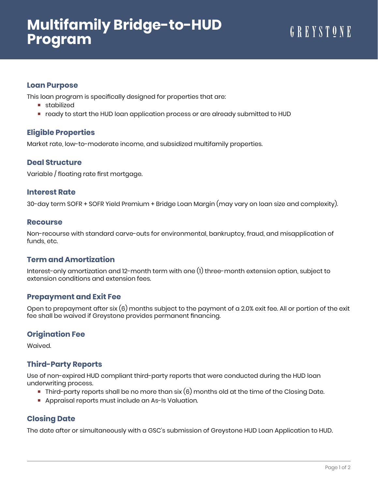# **Multifamily Bridge-to-HUD Program**

## **Loan Purpose**

This loan program is specifically designed for properties that are:

- stabilized
- ready to start the HUD loan application process or are already submitted to HUD

## **Eligible Properties**

Market rate, low-to-moderate income, and subsidized multifamily properties.

## **Deal Structure**

Variable / floating rate first mortgage.

### **Interest Rate**

30-day term SOFR + SOFR Yield Premium + Bridge Loan Margin (may vary on loan size and complexity).

#### **Recourse**

Non-recourse with standard carve-outs for environmental, bankruptcy, fraud, and misapplication of funds, etc.

## **Term and Amortization**

Interest-only amortization and 12-month term with one (1) three-month extension option, subject to extension conditions and extension fees.

## **Prepayment and Exit Fee**

Open to prepayment after six (6) months subject to the payment of a 2.0% exit fee. All or portion of the exit fee shall be waived if Greystone provides permanent financing.

## **Origination Fee**

Waived.

# **Third-Party Reports**

Use of non-expired HUD compliant third-party reports that were conducted during the HUD loan underwriting process.

- Third-party reports shall be no more than six (6) months old at the time of the Closing Date.
- **Appraisal reports must include an As-Is Valuation.**

# **Closing Date**

The date after or simultaneously with a GSC's submission of Greystone HUD Loan Application to HUD.